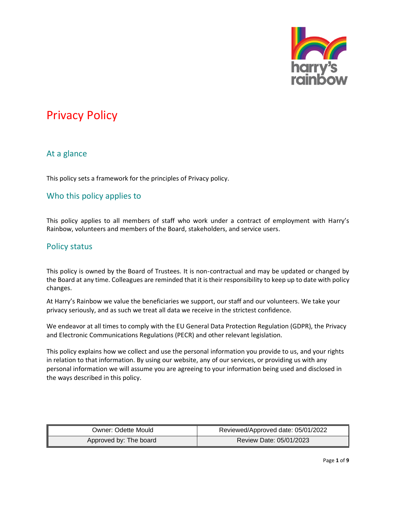

## At a glance

This policy sets a framework for the principles of Privacy policy.

## Who this policy applies to

This policy applies to all members of staff who work under a contract of employment with Harry's Rainbow, volunteers and members of the Board, stakeholders, and service users.

### Policy status

This policy is owned by the Board of Trustees. It is non-contractual and may be updated or changed by the Board at any time. Colleagues are reminded that it is their responsibility to keep up to date with policy changes.

At Harry's Rainbow we value the beneficiaries we support, our staff and our volunteers. We take your privacy seriously, and as such we treat all data we receive in the strictest confidence.

We endeavor at all times to comply with the EU General Data Protection Regulation (GDPR), the Privacy and Electronic Communications Regulations (PECR) and other relevant legislation.

This policy explains how we collect and use the personal information you provide to us, and your rights in relation to that information. By using our website, any of our services, or providing us with any personal information we will assume you are agreeing to your information being used and disclosed in the ways described in this policy.

| Owner: Odette Mould    | Reviewed/Approved date: 05/01/2022 |
|------------------------|------------------------------------|
| Approved by: The board | Review Date: 05/01/2023            |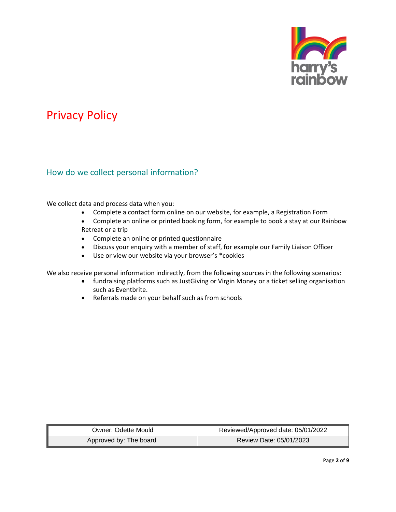

### How do we collect personal information?

We collect data and process data when you:

- Complete a contact form online on our website, for example, a Registration Form
- Complete an online or printed booking form, for example to book a stay at our Rainbow Retreat or a trip
- Complete an online or printed questionnaire
- Discuss your enquiry with a member of staff, for example our Family Liaison Officer
- Use or view our website via your browser's \*cookies

We also receive personal information indirectly, from the following sources in the following scenarios:

- fundraising platforms such as JustGiving or Virgin Money or a ticket selling organisation such as Eventbrite.
- Referrals made on your behalf such as from schools

| Owner: Odette Mould    | Reviewed/Approved date: 05/01/2022 |
|------------------------|------------------------------------|
| Approved by: The board | Review Date: 05/01/2023            |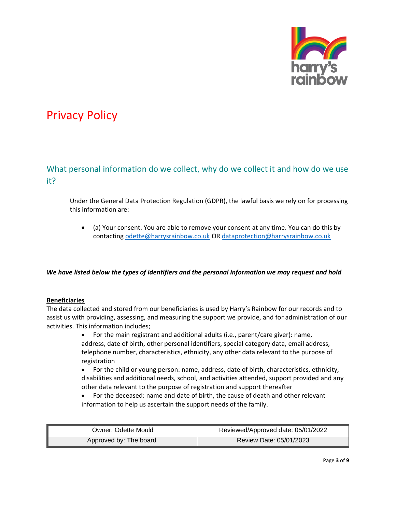

## What personal information do we collect, why do we collect it and how do we use it?

Under the General Data Protection Regulation (GDPR), the lawful basis we rely on for processing this information are:

• (a) Your consent. You are able to remove your consent at any time. You can do this by contactin[g odette@harrysrainbow.co.uk](mailto:odette@harrysrainbow.co.uk) OR [dataprotection@harrysrainbow.co.uk](mailto:dataprotection@harrysrainbow.co.uk)

#### *We have listed below the types of identifiers and the personal information we may request and hold*

#### **Beneficiaries**

The data collected and stored from our beneficiaries is used by Harry's Rainbow for our records and to assist us with providing, assessing, and measuring the support we provide, and for administration of our activities. This information includes;

- For the main registrant and additional adults (i.e., parent/care giver): name, address, date of birth, other personal identifiers, special category data, email address, telephone number, characteristics, ethnicity, any other data relevant to the purpose of registration
- For the child or young person: name, address, date of birth, characteristics, ethnicity, disabilities and additional needs, school, and activities attended, support provided and any other data relevant to the purpose of registration and support thereafter
- For the deceased: name and date of birth, the cause of death and other relevant information to help us ascertain the support needs of the family.

| Owner: Odette Mould    | Reviewed/Approved date: 05/01/2022 |
|------------------------|------------------------------------|
| Approved by: The board | Review Date: 05/01/2023            |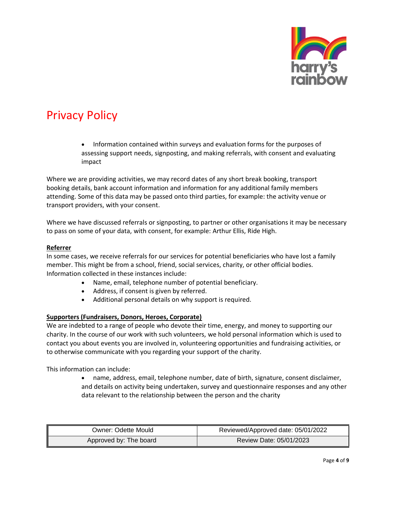

• Information contained within surveys and evaluation forms for the purposes of assessing support needs, signposting, and making referrals, with consent and evaluating impact

Where we are providing activities, we may record dates of any short break booking, transport booking details, bank account information and information for any additional family members attending. Some of this data may be passed onto third parties, for example: the activity venue or transport providers, with your consent.

Where we have discussed referrals or signposting, to partner or other organisations it may be necessary to pass on some of your data, with consent, for example: Arthur Ellis, Ride High.

#### **Referrer**

In some cases, we receive referrals for our services for potential beneficiaries who have lost a family member. This might be from a school, friend, social services, charity, or other official bodies. Information collected in these instances include:

- Name, email, telephone number of potential beneficiary.
- Address, if consent is given by referred.
- Additional personal details on why support is required.

#### **Supporters (Fundraisers, Donors, Heroes, Corporate)**

We are indebted to a range of people who devote their time, energy, and money to supporting our charity. In the course of our work with such volunteers, we hold personal information which is used to contact you about events you are involved in, volunteering opportunities and fundraising activities, or to otherwise communicate with you regarding your support of the charity.

This information can include:

• name, address, email, telephone number, date of birth, signature, consent disclaimer, and details on activity being undertaken, survey and questionnaire responses and any other data relevant to the relationship between the person and the charity

| Owner: Odette Mould    | Reviewed/Approved date: 05/01/2022 |
|------------------------|------------------------------------|
| Approved by: The board | Review Date: 05/01/2023            |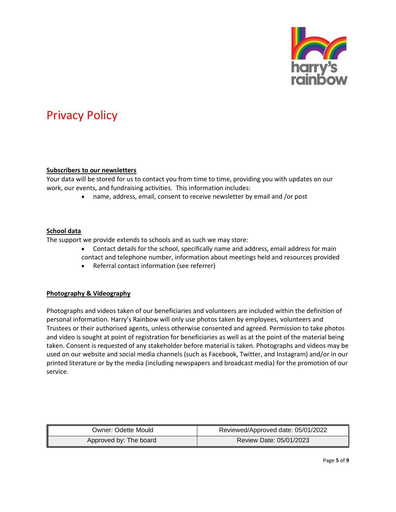

#### **Subscribers to our newsletters**

Your data will be stored for us to contact you from time to time, providing you with updates on our work, our events, and fundraising activities. This information includes:

• name, address, email, consent to receive newsletter by email and /or post

#### **School data**

The support we provide extends to schools and as such we may store:

- Contact details for the school, specifically name and address, email address for main contact and telephone number, information about meetings held and resources provided
- Referral contact information (see referrer)

#### **Photography & Videography**

Photographs and videos taken of our beneficiaries and volunteers are included within the definition of personal information. Harry's Rainbow will only use photos taken by employees, volunteers and Trustees or their authorised agents, unless otherwise consented and agreed. Permission to take photos and video is sought at point of registration for beneficiaries as well as at the point of the material being taken. Consent is requested of any stakeholder before material is taken. Photographs and videos may be used on our website and social media channels (such as Facebook, Twitter, and Instagram) and/or in our printed literature or by the media (including newspapers and broadcast media) for the promotion of our service.

| Owner: Odette Mould    | Reviewed/Approved date: 05/01/2022 |
|------------------------|------------------------------------|
| Approved by: The board | Review Date: 05/01/2023            |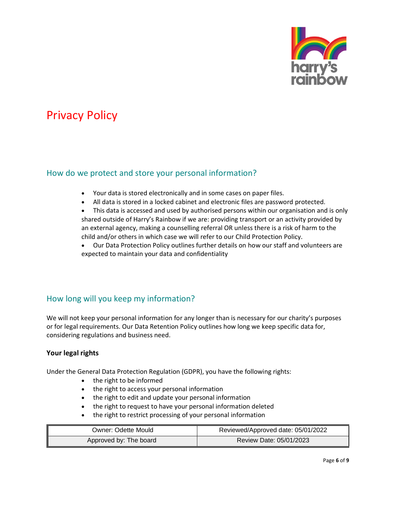

## How do we protect and store your personal information?

- Your data is stored electronically and in some cases on paper files.
- All data is stored in a locked cabinet and electronic files are password protected.

• This data is accessed and used by authorised persons within our organisation and is only shared outside of Harry's Rainbow if we are: providing transport or an activity provided by an external agency, making a counselling referral OR unless there is a risk of harm to the child and/or others in which case we will refer to our Child Protection Policy.

• Our Data Protection Policy outlines further details on how our staff and volunteers are expected to maintain your data and confidentiality

## How long will you keep my information?

We will not keep your personal information for any longer than is necessary for our charity's purposes or for legal requirements. Our Data Retention Policy outlines how long we keep specific data for, considering regulations and business need.

### **Your legal rights**

Under the General Data Protection Regulation (GDPR), you have the following rights:

- the right to be informed
- the right to access your personal information
- the right to edit and update your personal information
- the right to request to have your personal information deleted
- the right to restrict processing of your personal information

| Owner: Odette Mould    | Reviewed/Approved date: 05/01/2022 |
|------------------------|------------------------------------|
| Approved by: The board | Review Date: 05/01/2023            |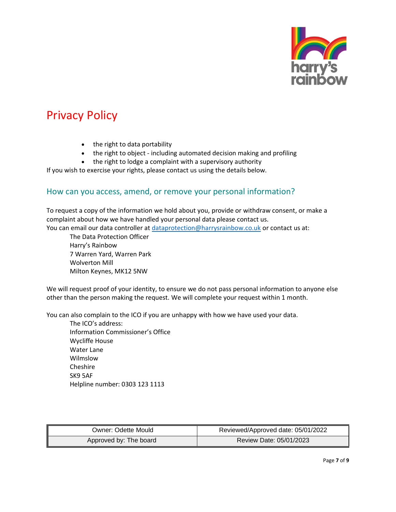

- the right to data portability
- the right to object including automated decision making and profiling
- the right to lodge a complaint with a supervisory authority

If you wish to exercise your rights, please contact us using the details below.

### How can you access, amend, or remove your personal information?

To request a copy of the information we hold about you, provide or withdraw consent, or make a complaint about how we have handled your personal data please contact us. You can email our data controller at [dataprotection@harrysrainbow.co.uk](mailto:dataprotection@harrysrainbow.co.uk) or contact us at:

The Data Protection Officer Harry's Rainbow 7 Warren Yard, Warren Park Wolverton Mill Milton Keynes, MK12 5NW

We will request proof of your identity, to ensure we do not pass personal information to anyone else other than the person making the request. We will complete your request within 1 month.

You can also complain to the ICO if you are unhappy with how we have used your data.

The ICO's address: Information Commissioner's Office Wycliffe House Water Lane Wilmslow Cheshire SK9 5AF Helpline number: 0303 123 1113

| Owner: Odette Mould    | Reviewed/Approved date: 05/01/2022 |
|------------------------|------------------------------------|
| Approved by: The board | Review Date: 05/01/2023            |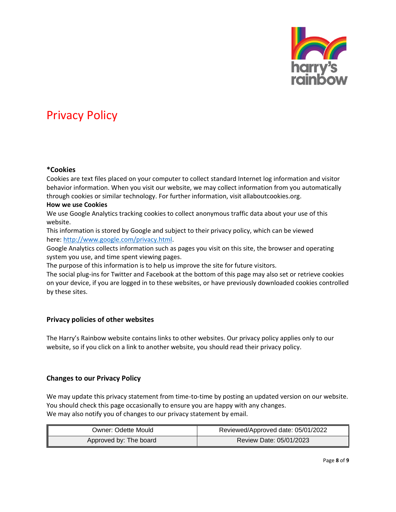

#### **\*Cookies**

Cookies are text files placed on your computer to collect standard Internet log information and visitor behavior information. When you visit our website, we may collect information from you automatically through cookies or similar technology. For further information, visit allaboutcookies.org.

### **How we use Cookies**

We use Google Analytics tracking cookies to collect anonymous traffic data about your use of this website.

This information is stored by Google and subject to their privacy policy, which can be viewed here: [http://www.google.com/privacy.html.](http://www.google.com/privacy.html)

Google Analytics collects information such as pages you visit on this site, the browser and operating system you use, and time spent viewing pages.

The purpose of this information is to help us improve the site for future visitors.

The social plug-ins for Twitter and Facebook at the bottom of this page may also set or retrieve cookies on your device, if you are logged in to these websites, or have previously downloaded cookies controlled by these sites.

### **Privacy policies of other websites**

The Harry's Rainbow website contains links to other websites. Our privacy policy applies only to our website, so if you click on a link to another website, you should read their privacy policy.

### **Changes to our Privacy Policy**

We may update this privacy statement from time-to-time by posting an updated version on our website. You should check this page occasionally to ensure you are happy with any changes. We may also notify you of changes to our privacy statement by email.

| Owner: Odette Mould    | Reviewed/Approved date: 05/01/2022 |
|------------------------|------------------------------------|
| Approved by: The board | Review Date: 05/01/2023            |